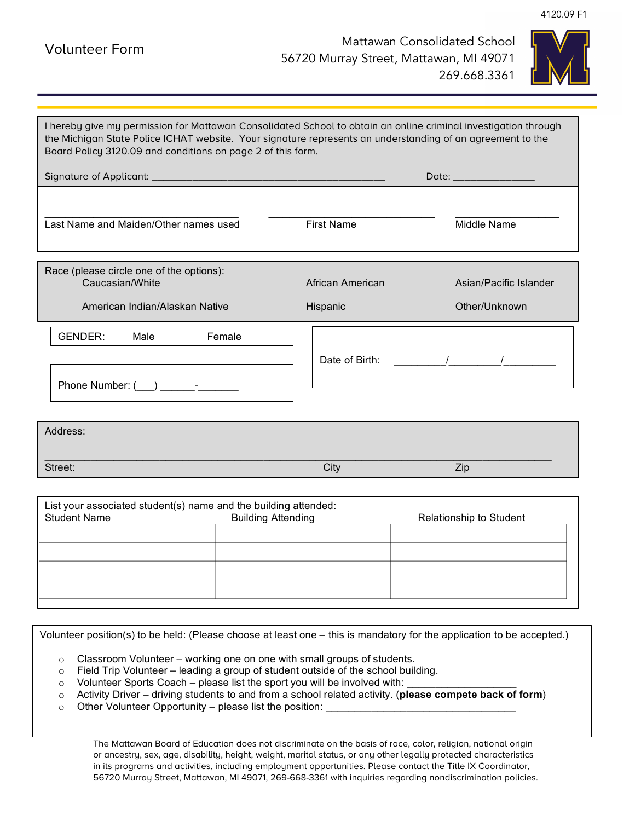

| I hereby give my permission for Mattawan Consolidated School to obtain an online criminal investigation through                                                           |        |                   |     |                                                      |  |  |  |
|---------------------------------------------------------------------------------------------------------------------------------------------------------------------------|--------|-------------------|-----|------------------------------------------------------|--|--|--|
| the Michigan State Police ICHAT website. Your signature represents an understanding of an agreement to the<br>Board Policy 3120.09 and conditions on page 2 of this form. |        |                   |     |                                                      |  |  |  |
|                                                                                                                                                                           |        |                   |     |                                                      |  |  |  |
|                                                                                                                                                                           |        |                   |     | Date: __________________                             |  |  |  |
|                                                                                                                                                                           |        |                   |     |                                                      |  |  |  |
| Last Name and Maiden/Other names used                                                                                                                                     |        | <b>First Name</b> |     | <b>Middle Name</b>                                   |  |  |  |
|                                                                                                                                                                           |        |                   |     |                                                      |  |  |  |
|                                                                                                                                                                           |        |                   |     |                                                      |  |  |  |
| Race (please circle one of the options):<br>Caucasian/White                                                                                                               |        | African American  |     | Asian/Pacific Islander                               |  |  |  |
|                                                                                                                                                                           |        |                   |     |                                                      |  |  |  |
| American Indian/Alaskan Native                                                                                                                                            |        | Hispanic          |     | Other/Unknown                                        |  |  |  |
| GENDER:<br>Male                                                                                                                                                           | Female |                   |     |                                                      |  |  |  |
|                                                                                                                                                                           |        |                   |     | Date of Birth: The Mate of Birth: The Mate of Birth: |  |  |  |
|                                                                                                                                                                           |        |                   |     |                                                      |  |  |  |
| Phone Number: $(\_\_\_) \_\_\_\_\_$                                                                                                                                       |        |                   |     |                                                      |  |  |  |
|                                                                                                                                                                           |        |                   |     |                                                      |  |  |  |
| Address:                                                                                                                                                                  |        |                   |     |                                                      |  |  |  |
|                                                                                                                                                                           |        |                   |     |                                                      |  |  |  |
| Street:                                                                                                                                                                   |        | City              | Zip |                                                      |  |  |  |
|                                                                                                                                                                           |        |                   |     |                                                      |  |  |  |
| List your associated student(s) name and the building attended:                                                                                                           |        |                   |     |                                                      |  |  |  |
| <b>Student Name</b><br><b>Building Attending</b>                                                                                                                          |        |                   |     | Relationship to Student                              |  |  |  |
|                                                                                                                                                                           |        |                   |     |                                                      |  |  |  |

Volunteer position(s) to be held: (Please choose at least one – this is mandatory for the application to be accepted.)

- $\circ$  Classroom Volunteer working one on one with small groups of students.
- $\circ$  Field Trip Volunteer leading a group of student outside of the school building.
- $\circ$  Volunteer Sports Coach please list the sport you will be involved with:
- o Activity Driver driving students to and from a school related activity. (**please compete back of form**)
- $\circ$  Other Volunteer Opportunity please list the position:

The Mattawan Board of Education does not discriminate on the basis of race, color, religion, national origin or ancestry, sex, age, disability, height, weight, marital status, or any other legally protected characteristics in its programs and activities, including employment opportunities. Please contact the Title IX Coordinator, 56720 Murray Street, Mattawan, MI 49071, 269-668-3361 with inquiries regarding nondiscrimination policies.